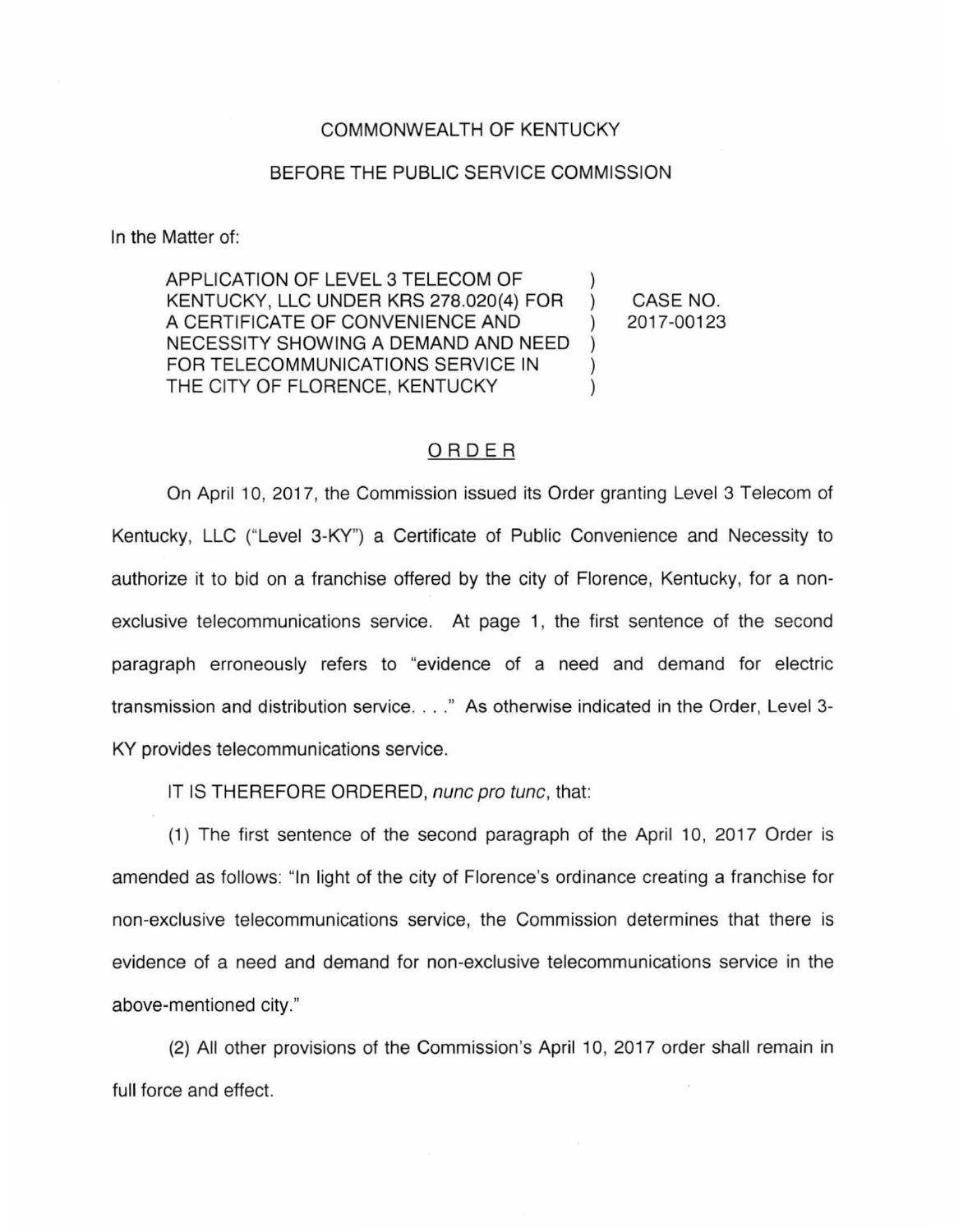## COMMONWEALTH OF KENTUCKY

## BEFORE THE PUBLIC SERVICE COMMISSION

In the Matter of:

APPLICATION OF LEVEL 3 TELECOM OF KENTUCKY, LLC UNDER KRS 278.020(4) FOR A CERTIFICATE OF CONVENIENCE AND NECESSITY SHOWING A DEMAND AND NEED  $\lambda$ FOR TELECOMMUNICATIONS SERVICE IN THE CITY OF FLORENCE, KENTUCKY

CASE NO. 2017-00123

## ORDER

On April 10, 2017, the Commission issued its Order granting Level 3 Telecom of Kentucky, LLC ("Level 3-KY") a Certificate of Public Convenience and Necessity to authorize it to bid on a franchise offered by the city of Florence, Kentucky, for a nonexclusive telecommunications service. At page 1, the first sentence of the second paragraph erroneously refers to "evidence of a need and demand for electric transmission and distribution service ... . " As otherwise indicated in the Order, Level 3- KY provides telecommunications service.

IT IS THEREFORE ORDERED, nunc pro tunc, that:

(1) The first sentence of the second paragraph of the April 10, 2017 Order is amended as follows: "In light of the city of Florence's ordinance creating a franchise for non-exclusive telecommunications service, the Commission determines that there is evidence of a need and demand for non-exclusive telecommunications service in the above-mentioned city."

(2) All other provisions of the Commission's April 10, 2017 order shall remain in full force and effect.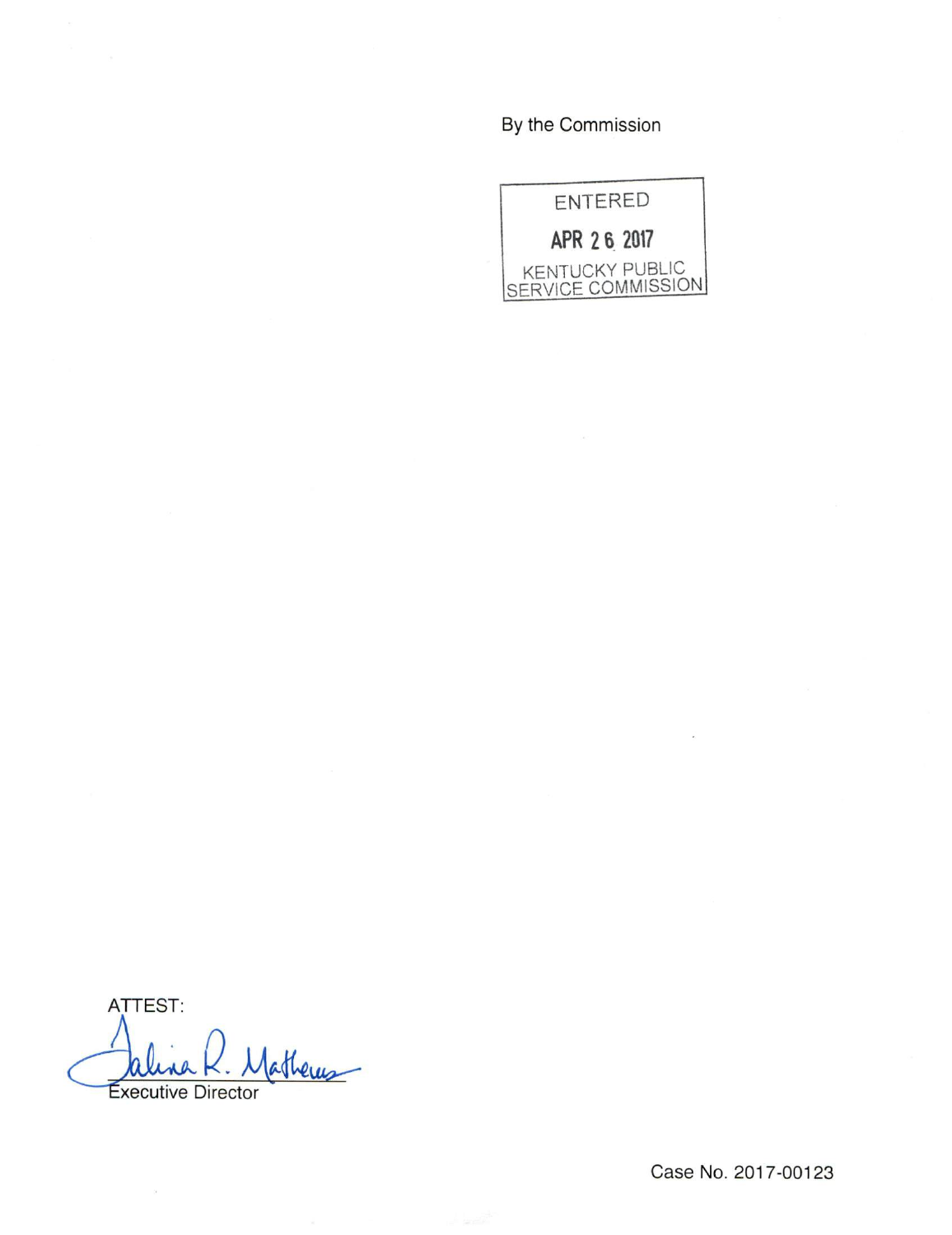By the Commission



ATTEST: atheres **Executive Director**